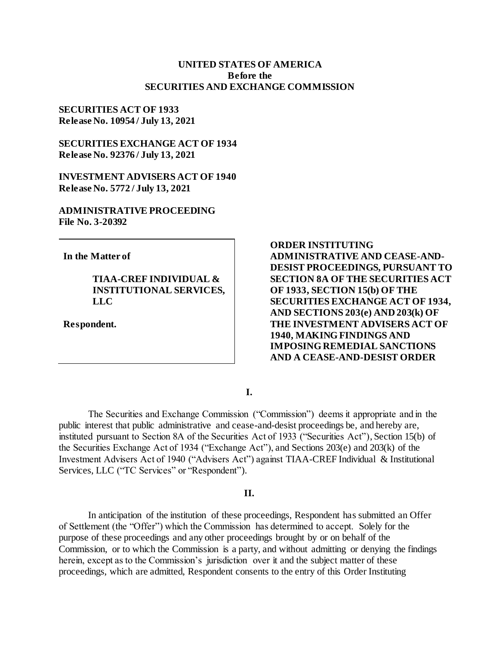## **UNITED STATES OF AMERICA Before the SECURITIES AND EXCHANGE COMMISSION**

## **SECURITIES ACT OF 1933 Release No. 10954 / July 13, 2021**

**SECURITIES EXCHANGE ACT OF 1934 Release No. 92376 / July 13, 2021**

**INVESTMENT ADVISERS ACT OF 1940 Release No. 5772 / July 13, 2021**

**ADMINISTRATIVE PROCEEDING File No. 3-20392**

**In the Matter of**

# **TIAA-CREF INDIVIDUAL & INSTITUTIONAL SERVICES, LLC**

**Respondent.**

**ORDER INSTITUTING ADMINISTRATIVE AND CEASE-AND-DESIST PROCEEDINGS, PURSUANT TO SECTION 8A OF THE SECURITIES ACT OF 1933, SECTION 15(b) OF THE SECURITIES EXCHANGE ACT OF 1934, AND SECTIONS 203(e) AND 203(k) OF THE INVESTMENT ADVISERS ACT OF 1940, MAKING FINDINGS AND IMPOSING REMEDIAL SANCTIONS AND A CEASE-AND-DESIST ORDER** 

**I.**

The Securities and Exchange Commission ("Commission") deems it appropriate and in the public interest that public administrative and cease-and-desist proceedings be, and hereby are, instituted pursuant to Section 8A of the Securities Act of 1933 ("Securities Act"), Section 15(b) of the Securities Exchange Act of 1934 ("Exchange Act"), and Sections 203(e) and 203(k) of the Investment Advisers Act of 1940 ("Advisers Act") against TIAA-CREF Individual & Institutional Services, LLC ("TC Services" or "Respondent").

### **II.**

In anticipation of the institution of these proceedings, Respondent has submitted an Offer of Settlement (the "Offer") which the Commission has determined to accept. Solely for the purpose of these proceedings and any other proceedings brought by or on behalf of the Commission, or to which the Commission is a party, and without admitting or denying the findings herein, except as to the Commission's jurisdiction over it and the subject matter of these proceedings, which are admitted, Respondent consents to the entry of this Order Instituting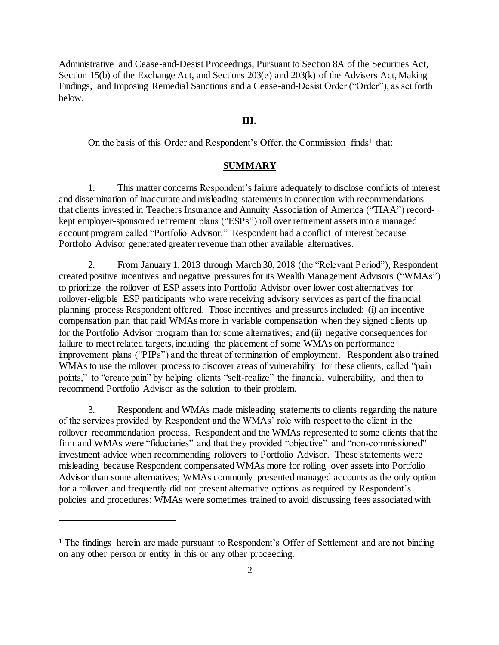Administrative and Cease-and-Desist Proceedings, Pursuant to Section 8A of the Securities Act, Section 15(b) of the Exchange Act, and Sections 203(e) and 203(k) of the Advisers Act, Making Findings, and Imposing Remedial Sanctions and a Cease-and-Desist Order ("Order"), as set forth below.

## **III.**

On the basis of this Order and Respondent's Offer, the Commission finds<sup>1</sup> that:

## **SUMMARY**

1. This matter concerns Respondent's failure adequately to disclose conflicts of interest and dissemination of inaccurate and misleading statements in connection with recommendations that clients invested in Teachers Insurance and Annuity Association of America ("TIAA") recordkept employer-sponsored retirement plans ("ESPs") roll over retirement assets into a managed account program called "Portfolio Advisor." Respondent had a conflict of interest because Portfolio Advisor generated greater revenue than other available alternatives.

2. From January 1, 2013 through March 30, 2018 (the "Relevant Period"), Respondent created positive incentives and negative pressures for its Wealth Management Advisors ("WMAs") to prioritize the rollover of ESP assets into Portfolio Advisor over lower cost alternatives for rollover-eligible ESP participants who were receiving advisory services as part of the financial planning process Respondent offered. Those incentives and pressures included: (i) an incentive compensation plan that paid WMAs more in variable compensation when they signed clients up for the Portfolio Advisor program than for some alternatives; and (ii) negative consequences for failure to meet related targets, including the placement of some WMAs on performance improvement plans ("PIPs") and the threat of termination of employment. Respondent also trained WMAs to use the rollover process to discover areas of vulnerability for these clients, called "pain points," to "create pain" by helping clients "self-realize" the financial vulnerability, and then to recommend Portfolio Advisor as the solution to their problem.

3. Respondent and WMAs made misleading statements to clients regarding the nature of the services provided by Respondent and the WMAs' role with respect to the client in the rollover recommendation process. Respondent and the WMAs represented to some clients that the firm and WMAs were "fiduciaries" and that they provided "objective" and "non-commissioned" investment advice when recommending rollovers to Portfolio Advisor. These statements were misleading because Respondent compensated WMAs more for rolling over assets into Portfolio Advisor than some alternatives; WMAs commonly presented managed accounts as the only option for a rollover and frequently did not present alternative options as required by Respondent's policies and procedures; WMAs were sometimes trained to avoid discussing fees associated with

j

<sup>&</sup>lt;sup>1</sup> The findings herein are made pursuant to Respondent's Offer of Settlement and are not binding on any other person or entity in this or any other proceeding.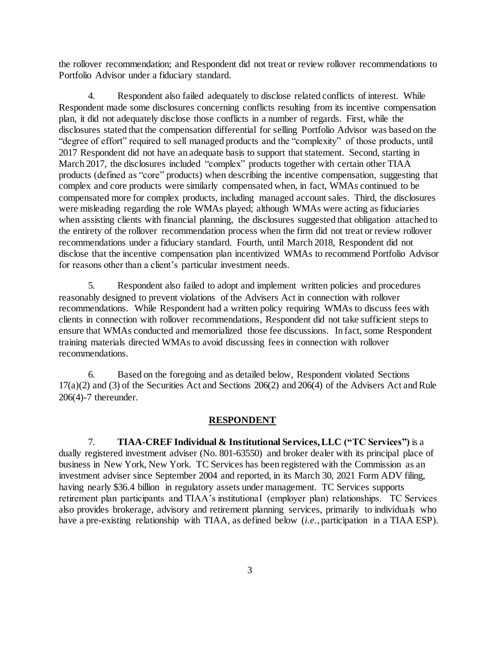the rollover recommendation; and Respondent did not treat or review rollover recommendations to Portfolio Advisor under a fiduciary standard.

4. Respondent also failed adequately to disclose related conflicts of interest. While Respondent made some disclosures concerning conflicts resulting from its incentive compensation plan, it did not adequately disclose those conflicts in a number of regards. First, while the disclosures stated that the compensation differential for selling Portfolio Advisor was based on the "degree of effort" required to sell managed products and the "complexity" of those products, until 2017 Respondent did not have an adequate basis to support that statement. Second, starting in March 2017, the disclosures included "complex" products together with certain other TIAA products (defined as "core" products) when describing the incentive compensation, suggesting that complex and core products were similarly compensated when, in fact, WMAs continued to be compensated more for complex products, including managed account sales. Third, the disclosures were misleading regarding the role WMAs played; although WMAs were acting as fiduciaries when assisting clients with financial planning, the disclosures suggested that obligation attached to the entirety of the rollover recommendation process when the firm did not treat or review rollover recommendations under a fiduciary standard. Fourth, until March 2018, Respondent did not disclose that the incentive compensation plan incentivized WMAs to recommend Portfolio Advisor for reasons other than a client's particular investment needs.

5. Respondent also failed to adopt and implement written policies and procedures reasonably designed to prevent violations of the Advisers Act in connection with rollover recommendations. While Respondent had a written policy requiring WMAs to discuss fees with clients in connection with rollover recommendations, Respondent did not take sufficient steps to ensure that WMAs conducted and memorialized those fee discussions. In fact, some Respondent training materials directed WMAs to avoid discussing fees in connection with rollover recommendations.

6. Based on the foregoing and as detailed below, Respondent violated Sections 17(a)(2) and (3) of the Securities Act and Sections 206(2) and 206(4) of the Advisers Act and Rule 206(4)-7 thereunder.

## **RESPONDENT**

7. **TIAA-CREF Individual & Institutional Services, LLC ("TC Services")** is a dually registered investment adviser (No. 801-63550) and broker dealer with its principal place of business in New York, New York. TC Services has been registered with the Commission as an investment adviser since September 2004 and reported, in its March 30, 2021 Form ADV filing, having nearly \$36.4 billion in regulatory assets under management. TC Services supports retirement plan participants and TIAA's institutional (employer plan) relationships. TC Services also provides brokerage, advisory and retirement planning services, primarily to individuals who have a pre-existing relationship with TIAA, as defined below (*i.e.*, participation in a TIAA ESP).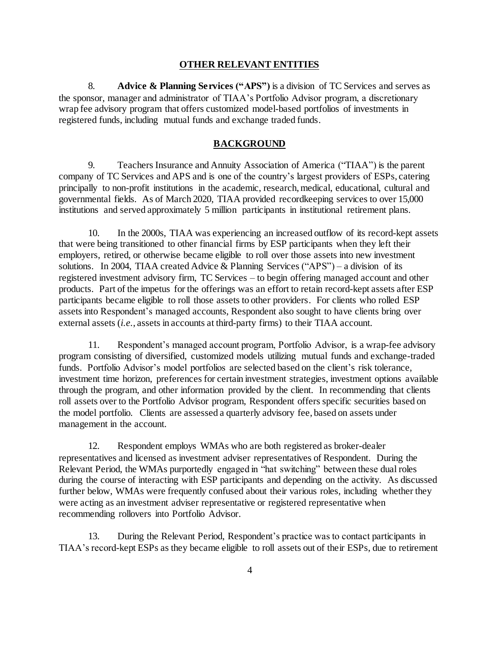#### **OTHER RELEVANT ENTITIES**

8. **Advice & Planning Services ("APS")** is a division of TC Services and serves as the sponsor, manager and administrator of TIAA's Portfolio Advisor program, a discretionary wrap fee advisory program that offers customized model-based portfolios of investments in registered funds, including mutual funds and exchange traded funds.

# **BACKGROUND**

9. Teachers Insurance and Annuity Association of America ("TIAA") is the parent company of TC Services and APS and is one of the country's largest providers of ESPs, catering principally to non-profit institutions in the academic, research, medical, educational, cultural and governmental fields. As of March 2020, TIAA provided recordkeeping services to over 15,000 institutions and served approximately 5 million participants in institutional retirement plans.

10. In the 2000s, TIAA was experiencing an increased outflow of its record-kept assets that were being transitioned to other financial firms by ESP participants when they left their employers, retired, or otherwise became eligible to roll over those assets into new investment solutions. In 2004, TIAA created Advice & Planning Services ("APS") – a division of its registered investment advisory firm, TC Services – to begin offering managed account and other products. Part of the impetus for the offerings was an effort to retain record-kept assets after ESP participants became eligible to roll those assets to other providers. For clients who rolled ESP assets into Respondent's managed accounts, Respondent also sought to have clients bring over external assets (*i.e.*, assets in accounts at third-party firms) to their TIAA account.

11. Respondent's managed account program, Portfolio Advisor, is a wrap-fee advisory program consisting of diversified, customized models utilizing mutual funds and exchange-traded funds. Portfolio Advisor's model portfolios are selected based on the client's risk tolerance, investment time horizon, preferences for certain investment strategies, investment options available through the program, and other information provided by the client. In recommending that clients roll assets over to the Portfolio Advisor program, Respondent offers specific securities based on the model portfolio. Clients are assessed a quarterly advisory fee, based on assets under management in the account.

12. Respondent employs WMAs who are both registered as broker-dealer representatives and licensed as investment adviser representatives of Respondent. During the Relevant Period, the WMAs purportedly engaged in "hat switching" between these dual roles during the course of interacting with ESP participants and depending on the activity. As discussed further below, WMAs were frequently confused about their various roles, including whether they were acting as an investment adviser representative or registered representative when recommending rollovers into Portfolio Advisor.

13. During the Relevant Period, Respondent's practice was to contact participants in TIAA's record-kept ESPs as they became eligible to roll assets out of their ESPs, due to retirement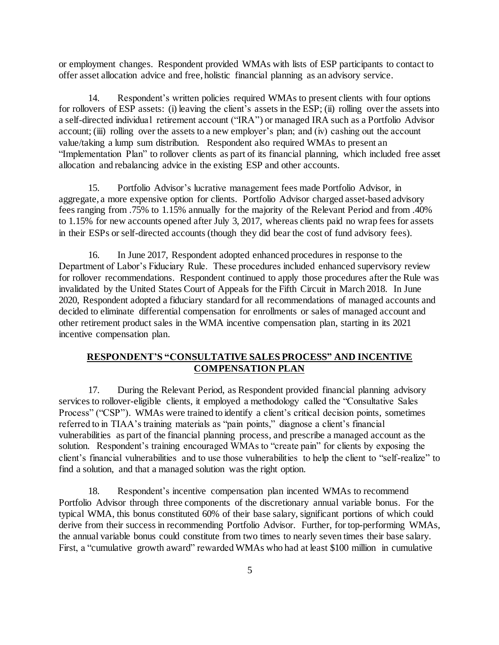or employment changes. Respondent provided WMAs with lists of ESP participants to contact to offer asset allocation advice and free, holistic financial planning as an advisory service.

14. Respondent's written policies required WMAs to present clients with four options for rollovers of ESP assets: (i) leaving the client's assets in the ESP; (ii) rolling over the assets into a self-directed individual retirement account ("IRA") or managed IRA such as a Portfolio Advisor account; (iii) rolling over the assets to a new employer's plan; and (iv) cashing out the account value/taking a lump sum distribution. Respondent also required WMAs to present an "Implementation Plan" to rollover clients as part of its financial planning, which included free asset allocation and rebalancing advice in the existing ESP and other accounts.

15. Portfolio Advisor's lucrative management fees made Portfolio Advisor, in aggregate, a more expensive option for clients. Portfolio Advisor charged asset-based advisory fees ranging from .75% to 1.15% annually for the majority of the Relevant Period and from .40% to 1.15% for new accounts opened after July 3, 2017, whereas clients paid no wrap fees for assets in their ESPs or self-directed accounts (though they did bear the cost of fund advisory fees).

16. In June 2017, Respondent adopted enhanced procedures in response to the Department of Labor's Fiduciary Rule. These procedures included enhanced supervisory review for rollover recommendations. Respondent continued to apply those procedures after the Rule was invalidated by the United States Court of Appeals for the Fifth Circuit in March 2018. In June 2020, Respondent adopted a fiduciary standard for all recommendations of managed accounts and decided to eliminate differential compensation for enrollments or sales of managed account and other retirement product sales in the WMA incentive compensation plan, starting in its 2021 incentive compensation plan.

# **RESPONDENT'S "CONSULTATIVE SALES PROCESS" AND INCENTIVE COMPENSATION PLAN**

17. During the Relevant Period, as Respondent provided financial planning advisory services to rollover-eligible clients, it employed a methodology called the "Consultative Sales Process" ("CSP"). WMAs were trained to identify a client's critical decision points, sometimes referred to in TIAA's training materials as "pain points," diagnose a client's financial vulnerabilities as part of the financial planning process, and prescribe a managed account as the solution. Respondent's training encouraged WMAs to "create pain" for clients by exposing the client's financial vulnerabilities and to use those vulnerabilities to help the client to "self-realize" to find a solution, and that a managed solution was the right option.

18. Respondent's incentive compensation plan incented WMAs to recommend Portfolio Advisor through three components of the discretionary annual variable bonus. For the typical WMA, this bonus constituted 60% of their base salary, significant portions of which could derive from their success in recommending Portfolio Advisor. Further, for top-performing WMAs, the annual variable bonus could constitute from two times to nearly seven times their base salary. First, a "cumulative growth award" rewarded WMAs who had at least \$100 million in cumulative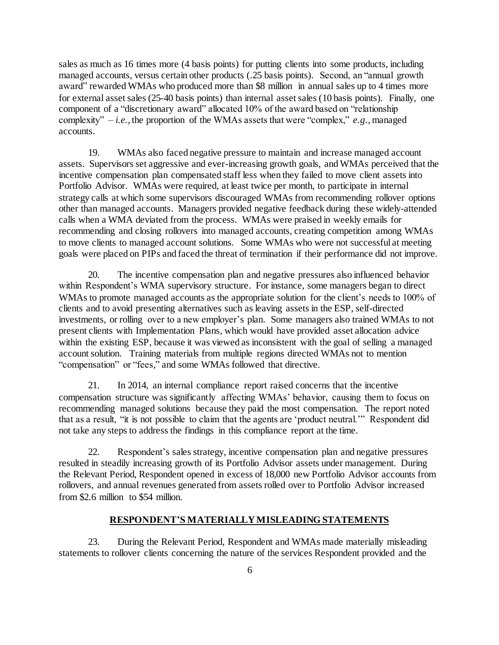sales as much as 16 times more (4 basis points) for putting clients into some products, including managed accounts, versus certain other products (.25 basis points). Second, an "annual growth award" rewarded WMAs who produced more than \$8 million in annual sales up to 4 times more for external asset sales (25-40 basis points) than internal asset sales (10 basis points). Finally, one component of a "discretionary award" allocated 10% of the award based on "relationship complexity" – *i.e.*, the proportion of the WMAs assets that were "complex," *e.g.*, managed accounts.

19. WMAs also faced negative pressure to maintain and increase managed account assets. Supervisors set aggressive and ever-increasing growth goals, and WMAs perceived that the incentive compensation plan compensated staff less when they failed to move client assets into Portfolio Advisor. WMAs were required, at least twice per month, to participate in internal strategy calls at which some supervisors discouraged WMAs from recommending rollover options other than managed accounts. Managers provided negative feedback during these widely-attended calls when a WMA deviated from the process. WMAs were praised in weekly emails for recommending and closing rollovers into managed accounts, creating competition among WMAs to move clients to managed account solutions. Some WMAs who were not successful at meeting goals were placed on PIPs and faced the threat of termination if their performance did not improve.

20. The incentive compensation plan and negative pressures also influenced behavior within Respondent's WMA supervisory structure. For instance, some managers began to direct WMAs to promote managed accounts as the appropriate solution for the client's needs to 100% of clients and to avoid presenting alternatives such as leaving assets in the ESP, self-directed investments, or rolling over to a new employer's plan. Some managers also trained WMAs to not present clients with Implementation Plans, which would have provided asset allocation advice within the existing ESP, because it was viewed as inconsistent with the goal of selling a managed account solution. Training materials from multiple regions directed WMAs not to mention "compensation" or "fees," and some WMAs followed that directive.

21. In 2014, an internal compliance report raised concerns that the incentive compensation structure was significantly affecting WMAs' behavior, causing them to focus on recommending managed solutions because they paid the most compensation. The report noted that as a result, "it is not possible to claim that the agents are 'product neutral.'" Respondent did not take any steps to address the findings in this compliance report at the time.

22. Respondent's sales strategy, incentive compensation plan and negative pressures resulted in steadily increasing growth of its Portfolio Advisor assets under management. During the Relevant Period, Respondent opened in excess of 18,000 new Portfolio Advisor accounts from rollovers, and annual revenues generated from assets rolled over to Portfolio Advisor increased from \$2.6 million to \$54 million.

### **RESPONDENT'S MATERIALLY MISLEADING STATEMENTS**

23. During the Relevant Period, Respondent and WMAs made materially misleading statements to rollover clients concerning the nature of the services Respondent provided and the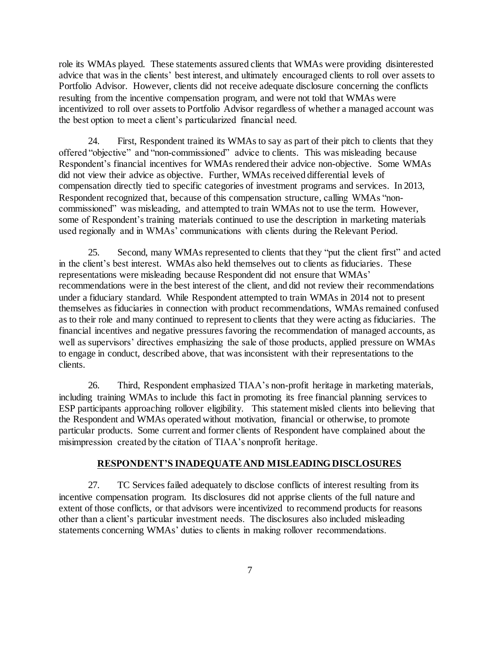role its WMAs played. These statements assured clients that WMAs were providing disinterested advice that was in the clients' best interest, and ultimately encouraged clients to roll over assets to Portfolio Advisor. However, clients did not receive adequate disclosure concerning the conflicts resulting from the incentive compensation program, and were not told that WMAs were incentivized to roll over assets to Portfolio Advisor regardless of whether a managed account was the best option to meet a client's particularized financial need.

24. First, Respondent trained its WMAs to say as part of their pitch to clients that they offered "objective" and "non-commissioned" advice to clients. This was misleading because Respondent's financial incentives for WMAs rendered their advice non-objective. Some WMAs did not view their advice as objective. Further, WMAs received differential levels of compensation directly tied to specific categories of investment programs and services. In 2013, Respondent recognized that, because of this compensation structure, calling WMAs "noncommissioned" was misleading, and attempted to train WMAs not to use the term. However, some of Respondent's training materials continued to use the description in marketing materials used regionally and in WMAs' communications with clients during the Relevant Period.

25. Second, many WMAs represented to clients that they "put the client first" and acted in the client's best interest. WMAs also held themselves out to clients as fiduciaries. These representations were misleading because Respondent did not ensure that WMAs' recommendations were in the best interest of the client, and did not review their recommendations under a fiduciary standard. While Respondent attempted to train WMAs in 2014 not to present themselves as fiduciaries in connection with product recommendations, WMAs remained confused as to their role and many continued to represent to clients that they were acting as fiduciaries. The financial incentives and negative pressures favoring the recommendation of managed accounts, as well as supervisors' directives emphasizing the sale of those products, applied pressure on WMAs to engage in conduct, described above, that was inconsistent with their representations to the clients.

26. Third, Respondent emphasized TIAA's non-profit heritage in marketing materials, including training WMAs to include this fact in promoting its free financial planning services to ESP participants approaching rollover eligibility. This statement misled clients into believing that the Respondent and WMAs operated without motivation, financial or otherwise, to promote particular products. Some current and former clients of Respondent have complained about the misimpression created by the citation of TIAA's nonprofit heritage.

## **RESPONDENT'S INADEQUATE AND MISLEADING DISCLOSURES**

27. TC Services failed adequately to disclose conflicts of interest resulting from its incentive compensation program. Its disclosures did not apprise clients of the full nature and extent of those conflicts, or that advisors were incentivized to recommend products for reasons other than a client's particular investment needs. The disclosures also included misleading statements concerning WMAs' duties to clients in making rollover recommendations.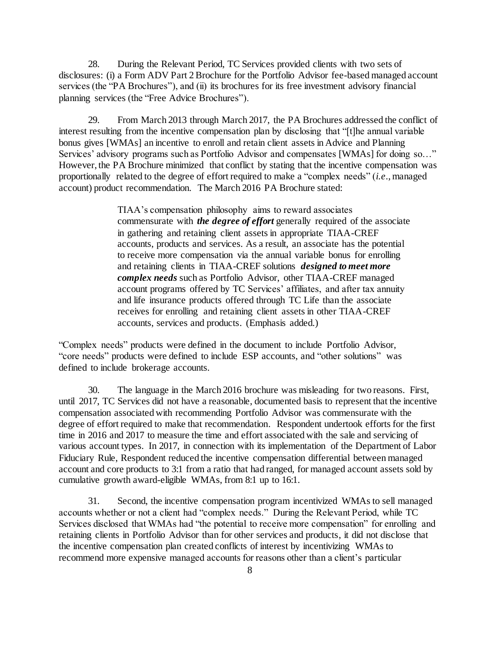28. During the Relevant Period, TC Services provided clients with two sets of disclosures: (i) a Form ADV Part 2 Brochure for the Portfolio Advisor fee-based managed account services (the "PA Brochures"), and (ii) its brochures for its free investment advisory financial planning services (the "Free Advice Brochures").

29. From March 2013 through March 2017, the PA Brochures addressed the conflict of interest resulting from the incentive compensation plan by disclosing that "[t]he annual variable bonus gives [WMAs] an incentive to enroll and retain client assets in Advice and Planning Services' advisory programs such as Portfolio Advisor and compensates [WMAs] for doing so…" However, the PA Brochure minimized that conflict by stating that the incentive compensation was proportionally related to the degree of effort required to make a "complex needs" (*i.e*., managed account) product recommendation. The March 2016 PA Brochure stated:

> TIAA's compensation philosophy aims to reward associates commensurate with *the degree of effort* generally required of the associate in gathering and retaining client assets in appropriate TIAA-CREF accounts, products and services. As a result, an associate has the potential to receive more compensation via the annual variable bonus for enrolling and retaining clients in TIAA-CREF solutions *designed to meet more complex needs* such as Portfolio Advisor, other TIAA-CREF managed account programs offered by TC Services' affiliates, and after tax annuity and life insurance products offered through TC Life than the associate receives for enrolling and retaining client assets in other TIAA-CREF accounts, services and products. (Emphasis added.)

"Complex needs" products were defined in the document to include Portfolio Advisor, "core needs" products were defined to include ESP accounts, and "other solutions" was defined to include brokerage accounts.

30. The language in the March 2016 brochure was misleading for two reasons. First, until 2017, TC Services did not have a reasonable, documented basis to represent that the incentive compensation associated with recommending Portfolio Advisor was commensurate with the degree of effort required to make that recommendation. Respondent undertook efforts for the first time in 2016 and 2017 to measure the time and effort associated with the sale and servicing of various account types. In 2017, in connection with its implementation of the Department of Labor Fiduciary Rule, Respondent reduced the incentive compensation differential between managed account and core products to 3:1 from a ratio that had ranged, for managed account assets sold by cumulative growth award-eligible WMAs, from 8:1 up to 16:1.

31. Second, the incentive compensation program incentivized WMAs to sell managed accounts whether or not a client had "complex needs." During the Relevant Period, while TC Services disclosed that WMAs had "the potential to receive more compensation" for enrolling and retaining clients in Portfolio Advisor than for other services and products, it did not disclose that the incentive compensation plan created conflicts of interest by incentivizing WMAs to recommend more expensive managed accounts for reasons other than a client's particular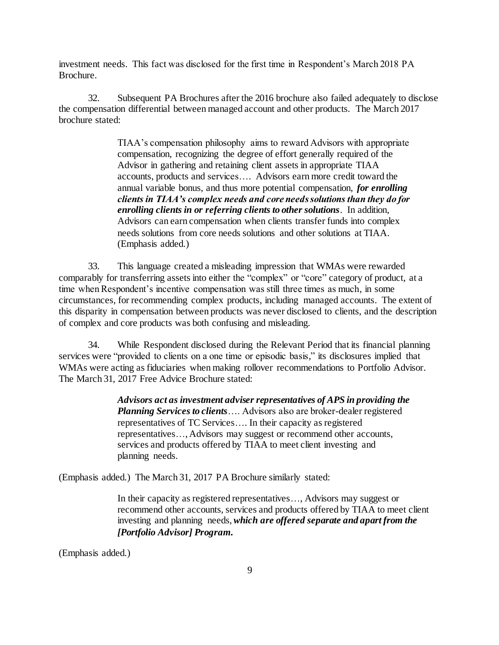investment needs. This fact was disclosed for the first time in Respondent's March 2018 PA Brochure.

32. Subsequent PA Brochures after the 2016 brochure also failed adequately to disclose the compensation differential between managed account and other products. The March 2017 brochure stated:

> TIAA's compensation philosophy aims to reward Advisors with appropriate compensation, recognizing the degree of effort generally required of the Advisor in gathering and retaining client assets in appropriate TIAA accounts, products and services…. Advisors earn more credit toward the annual variable bonus, and thus more potential compensation, *for enrolling clients in TIAA's complex needs and core needs solutions than they do for enrolling clients in or referring clients to other solutions*. In addition, Advisors can earn compensation when clients transfer funds into complex needs solutions from core needs solutions and other solutions at TIAA. (Emphasis added.)

33. This language created a misleading impression that WMAs were rewarded comparably for transferring assets into either the "complex" or "core" category of product, at a time when Respondent's incentive compensation was still three times as much, in some circumstances, for recommending complex products, including managed accounts. The extent of this disparity in compensation between products was never disclosed to clients, and the description of complex and core products was both confusing and misleading.

34. While Respondent disclosed during the Relevant Period that its financial planning services were "provided to clients on a one time or episodic basis," its disclosures implied that WMAs were acting as fiduciaries when making rollover recommendations to Portfolio Advisor. The March 31, 2017 Free Advice Brochure stated:

> *Advisors act as investment adviser representatives of APS in providing the Planning Services to clients*…. Advisors also are broker-dealer registered representatives of TC Services…. In their capacity as registered representatives…, Advisors may suggest or recommend other accounts, services and products offered by TIAA to meet client investing and planning needs.

(Emphasis added.) The March 31, 2017 PA Brochure similarly stated:

In their capacity as registered representatives…, Advisors may suggest or recommend other accounts, services and products offered by TIAA to meet client investing and planning needs, *which are offered separate and apart from the [Portfolio Advisor] Program.*

(Emphasis added.)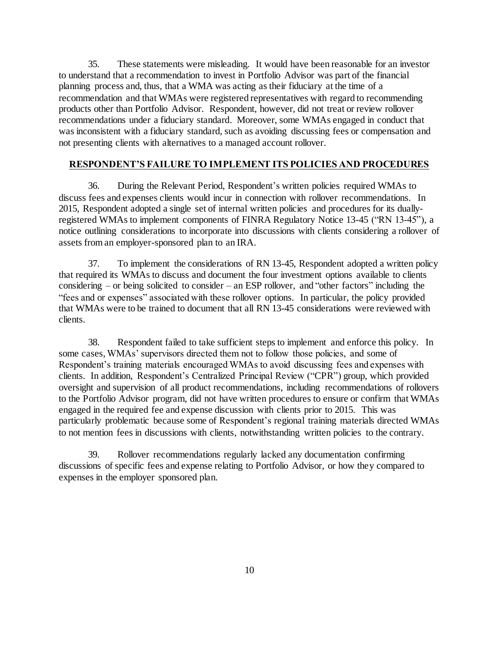35. These statements were misleading. It would have been reasonable for an investor to understand that a recommendation to invest in Portfolio Advisor was part of the financial planning process and, thus, that a WMA was acting as their fiduciary at the time of a recommendation and that WMAs were registered representatives with regard to recommending products other than Portfolio Advisor. Respondent, however, did not treat or review rollover recommendations under a fiduciary standard. Moreover, some WMAs engaged in conduct that was inconsistent with a fiduciary standard, such as avoiding discussing fees or compensation and not presenting clients with alternatives to a managed account rollover.

# **RESPONDENT'S FAILURE TO IMPLEMENT ITS POLICIES AND PROCEDURES**

36. During the Relevant Period, Respondent's written policies required WMAs to discuss fees and expenses clients would incur in connection with rollover recommendations. In 2015, Respondent adopted a single set of internal written policies and procedures for its duallyregistered WMAs to implement components of FINRA Regulatory Notice 13-45 ("RN 13-45"), a notice outlining considerations to incorporate into discussions with clients considering a rollover of assets from an employer-sponsored plan to an IRA.

37. To implement the considerations of RN 13-45, Respondent adopted a written policy that required its WMAs to discuss and document the four investment options available to clients considering – or being solicited to consider – an ESP rollover, and "other factors" including the "fees and or expenses" associated with these rollover options. In particular, the policy provided that WMAs were to be trained to document that all RN 13-45 considerations were reviewed with clients.

38. Respondent failed to take sufficient steps to implement and enforce this policy. In some cases,WMAs' supervisors directed them not to follow those policies, and some of Respondent's training materials encouraged WMAs to avoid discussing fees and expenses with clients. In addition, Respondent's Centralized Principal Review ("CPR") group, which provided oversight and supervision of all product recommendations, including recommendations of rollovers to the Portfolio Advisor program, did not have written procedures to ensure or confirm that WMAs engaged in the required fee and expense discussion with clients prior to 2015. This was particularly problematic because some of Respondent's regional training materials directed WMAs to not mention fees in discussions with clients, notwithstanding written policies to the contrary.

39. Rollover recommendations regularly lacked any documentation confirming discussions of specific fees and expense relating to Portfolio Advisor, or how they compared to expenses in the employer sponsored plan.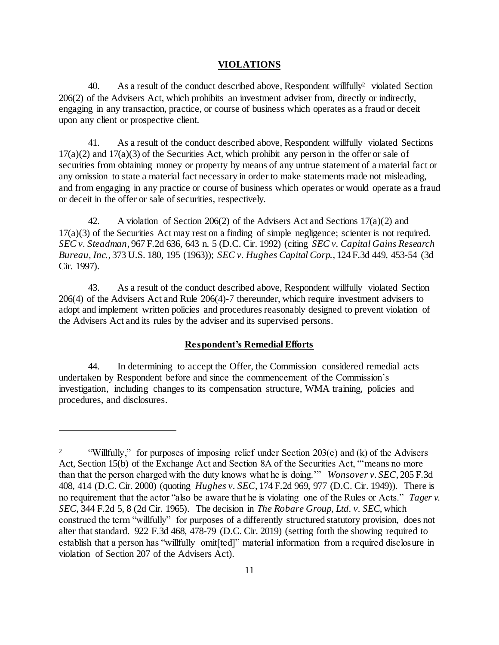### **VIOLATIONS**

40. As a result of the conduct described above, Respondent willfully  $\ell$  violated Section 206(2) of the Advisers Act, which prohibits an investment adviser from, directly or indirectly, engaging in any transaction, practice, or course of business which operates as a fraud or deceit upon any client or prospective client.

41. As a result of the conduct described above, Respondent willfully violated Sections  $17(a)(2)$  and  $17(a)(3)$  of the Securities Act, which prohibit any person in the offer or sale of securities from obtaining money or property by means of any untrue statement of a material fact or any omission to state a material fact necessary in order to make statements made not misleading, and from engaging in any practice or course of business which operates or would operate as a fraud or deceit in the offer or sale of securities, respectively*.* 

42. A violation of Section 206(2) of the Advisers Act and Sections 17(a)(2) and 17(a)(3) of the Securities Act may rest on a finding of simple negligence; scienter is not required. *SEC v. Steadman*, 967 F.2d 636, 643 n. 5 (D.C. Cir. 1992) (citing *SEC v. Capital Gains Research Bureau, Inc.*, 373 U.S. 180, 195 (1963)); *SEC v. Hughes Capital Corp.*, 124 F.3d 449, 453-54 (3d Cir. 1997).

43. As a result of the conduct described above, Respondent willfully violated Section 206(4) of the Advisers Act and Rule 206(4)-7 thereunder, which require investment advisers to adopt and implement written policies and procedures reasonably designed to prevent violation of the Advisers Act and its rules by the adviser and its supervised persons.

## **Respondent's Remedial Efforts**

44. In determining to accept the Offer, the Commission considered remedial acts undertaken by Respondent before and since the commencement of the Commission's investigation, including changes to its compensation structure, WMA training, policies and procedures, and disclosures.

l

<sup>&</sup>lt;sup>2</sup> "Willfully," for purposes of imposing relief under Section 203(e) and (k) of the Advisers Act, Section 15(b) of the Exchange Act and Section 8A of the Securities Act, "'means no more than that the person charged with the duty knows what he is doing.'" *Wonsover v. SEC*, 205 F.3d 408, 414 (D.C. Cir. 2000) (quoting *Hughes v. SEC*, 174 F.2d 969, 977 (D.C. Cir. 1949)). There is no requirement that the actor "also be aware that he is violating one of the Rules or Acts." *Tager v. SEC*, 344 F.2d 5, 8 (2d Cir. 1965). The decision in *The Robare Group, Ltd. v. SEC*, which construed the term "willfully" for purposes of a differently structured statutory provision, does not alter that standard. 922 F.3d 468, 478-79 (D.C. Cir. 2019) (setting forth the showing required to establish that a person has "willfully omit[ted]" material information from a required disclosure in violation of Section 207 of the Advisers Act).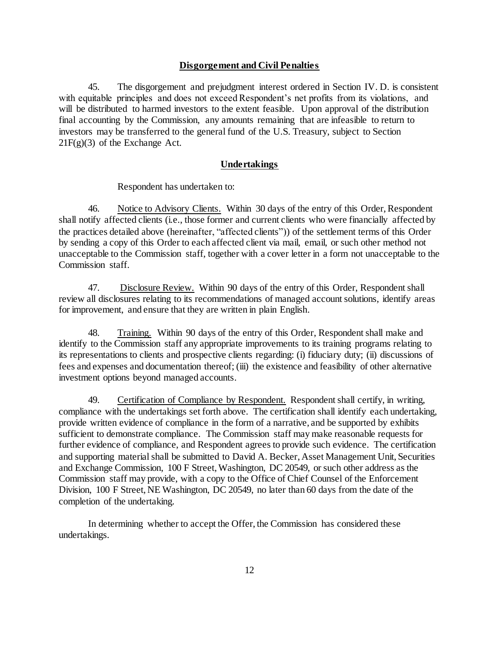### **Disgorgement and Civil Penalties**

45. The disgorgement and prejudgment interest ordered in Section IV. D. is consistent with equitable principles and does not exceed Respondent's net profits from its violations, and will be distributed to harmed investors to the extent feasible. Upon approval of the distribution final accounting by the Commission, any amounts remaining that are infeasible to return to investors may be transferred to the general fund of the U.S. Treasury, subject to Section  $21F(g)(3)$  of the Exchange Act.

#### **Undertakings**

Respondent has undertaken to:

46. Notice to Advisory Clients.Within 30 days of the entry of this Order, Respondent shall notify affected clients (i.e., those former and current clients who were financially affected by the practices detailed above (hereinafter, "affected clients")) of the settlement terms of this Order by sending a copy of this Order to each affected client via mail, email, or such other method not unacceptable to the Commission staff, together with a cover letter in a form not unacceptable to the Commission staff.

47. Disclosure Review. Within 90 days of the entry of this Order, Respondent shall review all disclosures relating to its recommendations of managed account solutions, identify areas for improvement, and ensure that they are written in plain English.

48. Training. Within 90 days of the entry of this Order, Respondent shall make and identify to the Commission staff any appropriate improvements to its training programs relating to its representations to clients and prospective clients regarding: (i) fiduciary duty; (ii) discussions of fees and expenses and documentation thereof; (iii) the existence and feasibility of other alternative investment options beyond managed accounts.

49. Certification of Compliance by Respondent. Respondent shall certify, in writing, compliance with the undertakings set forth above. The certification shall identify each undertaking, provide written evidence of compliance in the form of a narrative, and be supported by exhibits sufficient to demonstrate compliance. The Commission staff may make reasonable requests for further evidence of compliance, and Respondent agrees to provide such evidence. The certification and supporting material shall be submitted to David A. Becker, Asset Management Unit, Securities and Exchange Commission, 100 F Street, Washington, DC 20549, or such other address as the Commission staff may provide, with a copy to the Office of Chief Counsel of the Enforcement Division, 100 F Street, NE Washington, DC 20549, no later than 60 days from the date of the completion of the undertaking.

In determining whether to accept the Offer, the Commission has considered these undertakings.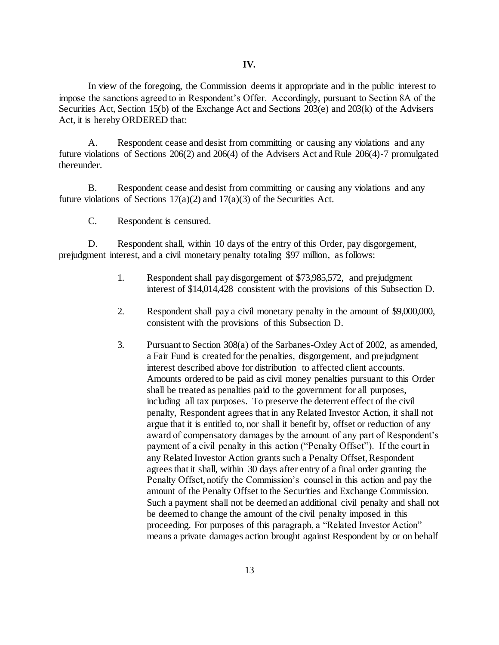In view of the foregoing, the Commission deems it appropriate and in the public interest to impose the sanctions agreed to in Respondent's Offer. Accordingly, pursuant to Section 8A of the Securities Act, Section 15(b) of the Exchange Act and Sections 203(e) and 203(k) of the Advisers Act, it is hereby ORDERED that:

A. Respondent cease and desist from committing or causing any violations and any future violations of Sections 206(2) and 206(4) of the Advisers Act and Rule 206(4)-7 promulgated thereunder.

B. Respondent cease and desist from committing or causing any violations and any future violations of Sections  $17(a)(2)$  and  $17(a)(3)$  of the Securities Act.

C. Respondent is censured.

D. Respondent shall, within 10 days of the entry of this Order, pay disgorgement, prejudgment interest, and a civil monetary penalty totaling \$97 million, as follows:

- 1. Respondent shall pay disgorgement of \$73,985,572, and prejudgment interest of \$14,014,428 consistent with the provisions of this Subsection D.
- 2. Respondent shall pay a civil monetary penalty in the amount of \$9,000,000, consistent with the provisions of this Subsection D.
- 3. Pursuant to Section 308(a) of the Sarbanes-Oxley Act of 2002, as amended, a Fair Fund is created for the penalties, disgorgement, and prejudgment interest described above for distribution to affected client accounts. Amounts ordered to be paid as civil money penalties pursuant to this Order shall be treated as penalties paid to the government for all purposes, including all tax purposes. To preserve the deterrent effect of the civil penalty, Respondent agrees that in any Related Investor Action, it shall not argue that it is entitled to, nor shall it benefit by, offset or reduction of any award of compensatory damages by the amount of any part of Respondent's payment of a civil penalty in this action ("Penalty Offset"). If the court in any Related Investor Action grants such a Penalty Offset, Respondent agrees that it shall, within 30 days after entry of a final order granting the Penalty Offset, notify the Commission's counsel in this action and pay the amount of the Penalty Offset to the Securities and Exchange Commission. Such a payment shall not be deemed an additional civil penalty and shall not be deemed to change the amount of the civil penalty imposed in this proceeding. For purposes of this paragraph, a "Related Investor Action" means a private damages action brought against Respondent by or on behalf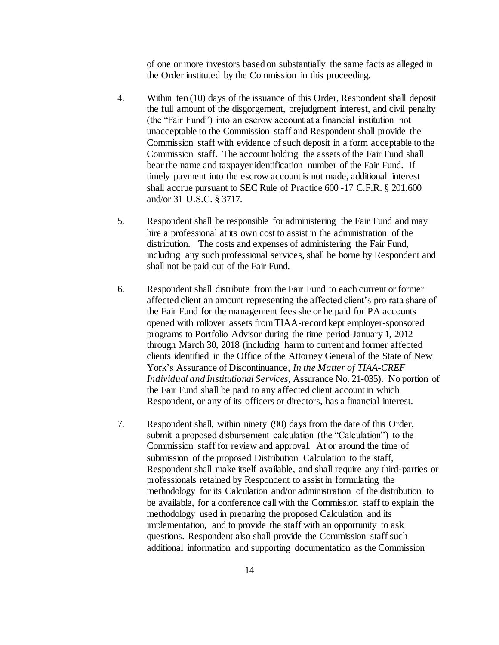of one or more investors based on substantially the same facts as alleged in the Order instituted by the Commission in this proceeding.

- 4. Within ten (10) days of the issuance of this Order, Respondent shall deposit the full amount of the disgorgement, prejudgment interest, and civil penalty (the "Fair Fund") into an escrow account at a financial institution not unacceptable to the Commission staff and Respondent shall provide the Commission staff with evidence of such deposit in a form acceptable to the Commission staff. The account holding the assets of the Fair Fund shall bear the name and taxpayer identification number of the Fair Fund. If timely payment into the escrow account is not made, additional interest shall accrue pursuant to SEC Rule of Practice 600 -17 C.F.R. § 201.600 and/or 31 U.S.C. § 3717.
- 5. Respondent shall be responsible for administering the Fair Fund and may hire a professional at its own cost to assist in the administration of the distribution. The costs and expenses of administering the Fair Fund, including any such professional services, shall be borne by Respondent and shall not be paid out of the Fair Fund.
- 6. Respondent shall distribute from the Fair Fund to each current or former affected client an amount representing the affected client's pro rata share of the Fair Fund for the management fees she or he paid for PA accounts opened with rollover assets from TIAA-record kept employer-sponsored programs to Portfolio Advisor during the time period January 1, 2012 through March 30, 2018 (including harm to current and former affected clients identified in the Office of the Attorney General of the State of New York's Assurance of Discontinuance, *In the Matter of TIAA-CREF Individual and Institutional Services,* Assurance No. 21-035). No portion of the Fair Fund shall be paid to any affected client account in which Respondent, or any of its officers or directors, has a financial interest.
- 7. Respondent shall, within ninety (90) days from the date of this Order, submit a proposed disbursement calculation (the "Calculation") to the Commission staff for review and approval. At or around the time of submission of the proposed Distribution Calculation to the staff, Respondent shall make itself available, and shall require any third-parties or professionals retained by Respondent to assist in formulating the methodology for its Calculation and/or administration of the distribution to be available, for a conference call with the Commission staff to explain the methodology used in preparing the proposed Calculation and its implementation, and to provide the staff with an opportunity to ask questions. Respondent also shall provide the Commission staff such additional information and supporting documentation as the Commission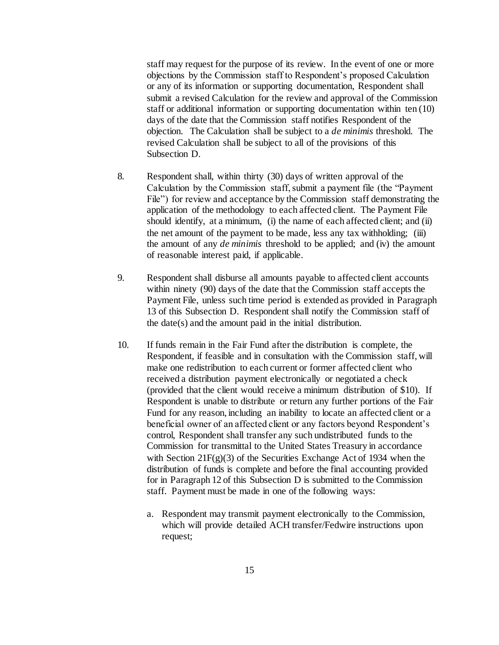staff may request for the purpose of its review. In the event of one or more objections by the Commission staff to Respondent's proposed Calculation or any of its information or supporting documentation, Respondent shall submit a revised Calculation for the review and approval of the Commission staff or additional information or supporting documentation within ten (10) days of the date that the Commission staff notifies Respondent of the objection. The Calculation shall be subject to a *de minimis* threshold. The revised Calculation shall be subject to all of the provisions of this Subsection D.

- 8. Respondent shall, within thirty (30) days of written approval of the Calculation by the Commission staff, submit a payment file (the "Payment File") for review and acceptance by the Commission staff demonstrating the application of the methodology to each affected client. The Payment File should identify, at a minimum, (i) the name of each affected client; and (ii) the net amount of the payment to be made, less any tax withholding; (iii) the amount of any *de minimis* threshold to be applied; and (iv) the amount of reasonable interest paid, if applicable.
- 9. Respondent shall disburse all amounts payable to affected client accounts within ninety (90) days of the date that the Commission staff accepts the Payment File, unless such time period is extended as provided in Paragraph 13 of this Subsection D. Respondent shall notify the Commission staff of the date(s) and the amount paid in the initial distribution.
- 10. If funds remain in the Fair Fund after the distribution is complete, the Respondent, if feasible and in consultation with the Commission staff, will make one redistribution to each current or former affected client who received a distribution payment electronically or negotiated a check (provided that the client would receive a minimum distribution of \$10). If Respondent is unable to distribute or return any further portions of the Fair Fund for any reason, including an inability to locate an affected client or a beneficial owner of an affected client or any factors beyond Respondent's control, Respondent shall transfer any such undistributed funds to the Commission for transmittal to the United States Treasury in accordance with Section 21 $F(g)(3)$  of the Securities Exchange Act of 1934 when the distribution of funds is complete and before the final accounting provided for in Paragraph 12 of this Subsection D is submitted to the Commission staff. Payment must be made in one of the following ways:
	- a. Respondent may transmit payment electronically to the Commission, which will provide detailed ACH transfer/Fedwire instructions upon request;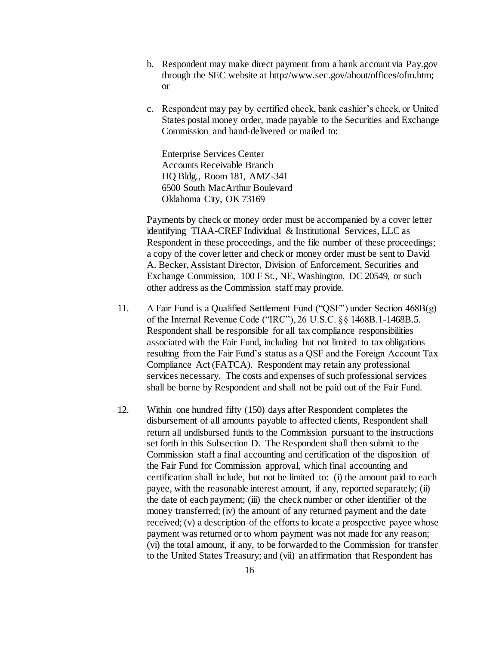- b. Respondent may make direct payment from a bank account via Pay.gov through the SEC website at http://www.sec.gov/about/offices/ofm.htm; or
- c. Respondent may pay by certified check, bank cashier's check, or United States postal money order, made payable to the Securities and Exchange Commission and hand-delivered or mailed to:

Enterprise Services Center Accounts Receivable Branch HQ Bldg., Room 181, AMZ-341 6500 South MacArthur Boulevard Oklahoma City, OK 73169

Payments by check or money order must be accompanied by a cover letter identifying TIAA-CREF Individual & Institutional Services, LLC as Respondent in these proceedings, and the file number of these proceedings; a copy of the cover letter and check or money order must be sent to David A. Becker, Assistant Director, Division of Enforcement, Securities and Exchange Commission, 100 F St., NE, Washington, DC 20549, or such other address as the Commission staff may provide.

- 11. A Fair Fund is a Qualified Settlement Fund ("QSF") under Section 468B(g) of the Internal Revenue Code ("IRC"), 26 U.S.C. §§ 1468B.1-1468B.5. Respondent shall be responsible for all tax compliance responsibilities associated with the Fair Fund, including but not limited to tax obligations resulting from the Fair Fund's status as a QSF and the Foreign Account Tax Compliance Act (FATCA). Respondent may retain any professional services necessary. The costs and expenses of such professional services shall be borne by Respondent and shall not be paid out of the Fair Fund.
- 12. Within one hundred fifty (150) days after Respondent completes the disbursement of all amounts payable to affected clients, Respondent shall return all undisbursed funds to the Commission pursuant to the instructions set forth in this Subsection D. The Respondent shall then submit to the Commission staff a final accounting and certification of the disposition of the Fair Fund for Commission approval, which final accounting and certification shall include, but not be limited to: (i) the amount paid to each payee, with the reasonable interest amount, if any, reported separately; (ii) the date of each payment; (iii) the check number or other identifier of the money transferred; (iv) the amount of any returned payment and the date received; (v) a description of the efforts to locate a prospective payee whose payment was returned or to whom payment was not made for any reason; (vi) the total amount, if any, to be forwarded to the Commission for transfer to the United States Treasury; and (vii) an affirmation that Respondent has